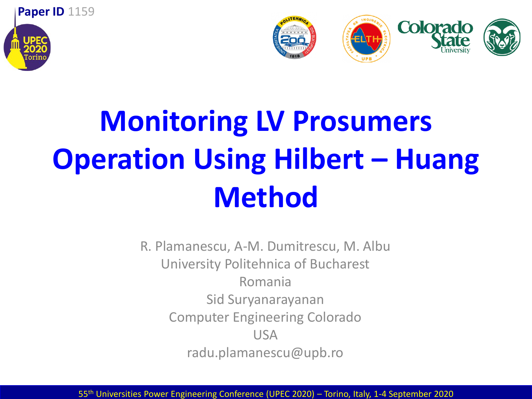



# **Monitoring LV Prosumers Operation Using Hilbert – Huang Method**

R. Plamanescu, A-M. Dumitrescu, M. Albu University Politehnica of Bucharest Romania Sid Suryanarayanan Computer Engineering Colorado USA radu.plamanescu@upb.ro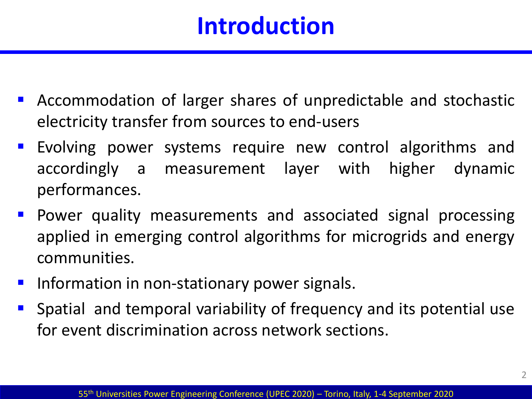## **Introduction**

- Accommodation of larger shares of unpredictable and stochastic electricity transfer from sources to end-users
- Evolving power systems require new control algorithms and accordingly a measurement layer with higher dynamic performances.
- **•** Power quality measurements and associated signal processing applied in emerging control algorithms for microgrids and energy communities.
- **E** Information in non-stationary power signals.
- Spatial and temporal variability of frequency and its potential use for event discrimination across network sections.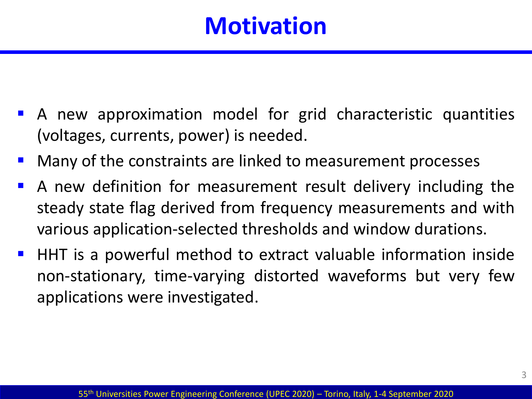## **Motivation**

- **E** A new approximation model for grid characteristic quantities (voltages, currents, power) is needed.
- Many of the constraints are linked to measurement processes
- A new definition for measurement result delivery including the steady state flag derived from frequency measurements and with various application-selected thresholds and window durations.
- HHT is a powerful method to extract valuable information inside non-stationary, time-varying distorted waveforms but very few applications were investigated.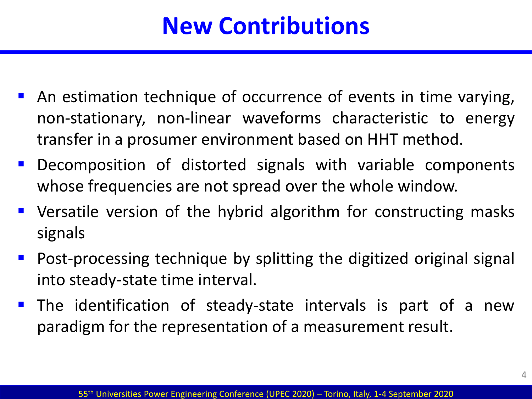## **New Contributions**

- An estimation technique of occurrence of events in time varying, non-stationary, non-linear waveforms characteristic to energy transfer in a prosumer environment based on HHT method.
- **-** Decomposition of distorted signals with variable components whose frequencies are not spread over the whole window.
- Versatile version of the hybrid algorithm for constructing masks signals
- Post-processing technique by splitting the digitized original signal into steady-state time interval.
- **The identification of steady-state intervals is part of a new** paradigm for the representation of a measurement result.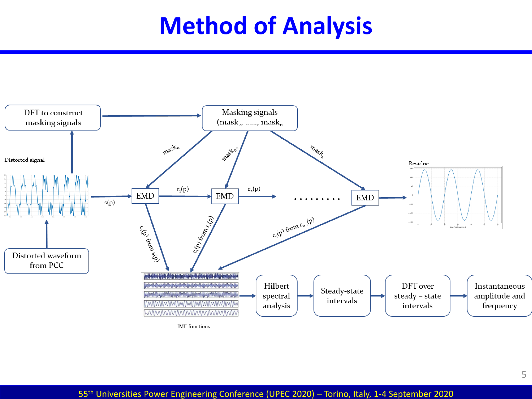## **Method of Analysis**

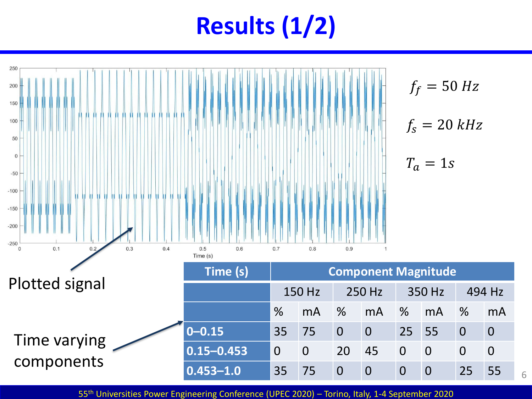# **Results (1/2)**



55th Universities Power Engineering Conference (UPEC 2020) – Torino, Italy, 1-4 September 2020

6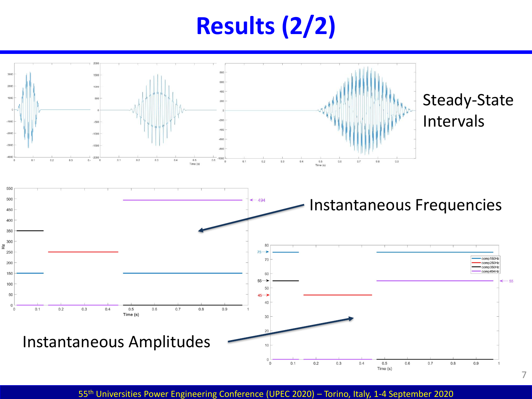# **Results (2/2)**



55th Universities Power Engineering Conference (UPEC 2020) – Torino, Italy, 1-4 September 2020

7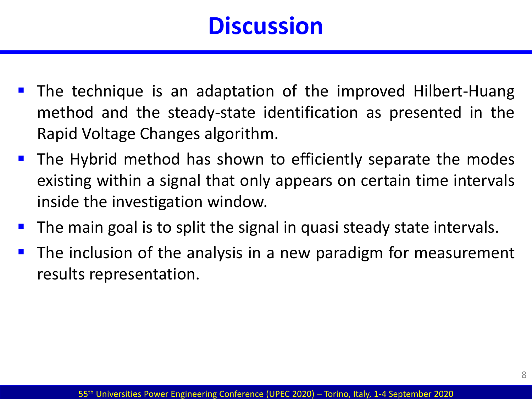#### **Discussion**

- The technique is an adaptation of the improved Hilbert-Huang method and the steady-state identification as presented in the Rapid Voltage Changes algorithm.
- The Hybrid method has shown to efficiently separate the modes existing within a signal that only appears on certain time intervals inside the investigation window.
- The main goal is to split the signal in quasi steady state intervals.
- The inclusion of the analysis in a new paradigm for measurement results representation.